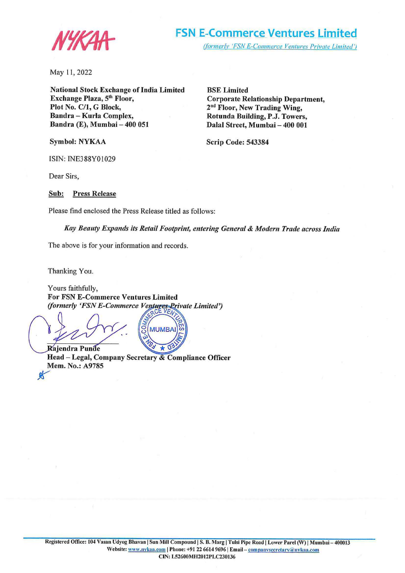

May 11, 2022

**National Stock Exchange of India Limited Exchange Plaza, 5th Floor, Plot No. C/1, G Block,**  Bandra - Kurla Complex, **Bandra (E), Mumbai- 400 051** 

**Symbol: NYKAA** 

**BSE Limited Corporate Relationship Department, 2nd Floor, New Trading Wing, Rotunda Building, P.J. Towers,**  Dalal Street, Mumbai - 400 001

**Scrip Code: 543384** 

ISIN: INE388Y0l029

Dear Sirs,

**Sub: Press Release** 

Please find enclosed the Press Release titled as follows:

*Kay Beauty Expands its Retail Footprint, entering General & Modem Trade across India* 

The above is for your information and records.

Thanking You.

Yours faithfully, **For FSN E-Commerce Ventures Limited**  *(formerly 'FSN E-Commerce Ventures Private Limited')* 

**MUMBAI** Raiendra Punde

 $\Delta$  $\overline{\phantom{a}}$ **Head – Legal, Company Secretary & Compliance Officer Mem. No.: A9785**  *K*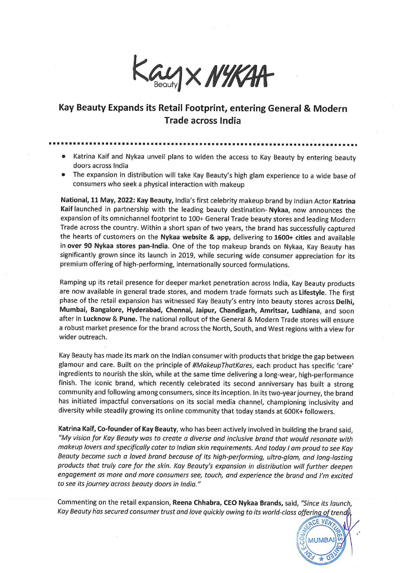Kay X NYKAA

## **Kay Beauty Expands its Retail Footprint, entering General** & **Modern Trade across India**

- ••••••••••••••••••••••••••••••••••••••••••••••••••••••••••••••••••••••••••••
	- Katrina Kaif and Nykaa unveil plans to widen the access to Kay Beauty by entering beauty doors across India
	- The expansion in distribution will take Kay Beauty's high glam experience to a wide base of consumers who seek a physical interaction with makeup

**National, 11 May, 2022: Kay Beauty,** India's first celebrity makeup brand by Indian Actor **Katrina Kaif** launched in partnership with the leading beauty destination- **Nykaa,** now announces the expansion of its omnichannel footprint to 100+ General Trade beauty stores and leading Modern Trade across the country. Within a short span of two years, the brand has successfully captured the hearts of customers on the **Nykaa website** & **app,** delivering to **1600+ cities** and available in **over 90 Nykaa stores pan-India.** One of the top makeup brands on Nykaa, Kay Beauty has significantly grown since its launch in 2019, while securing wide consumer appreciation for its premium offering of high-performing, internationally sourced formulations.

Ramping up its retail presence for deeper market penetration across India, Kay Beauty products are now available in general trade stores, and modern trade formats such as **Lifestyle.** The first phase of the retail expansion has witnessed Kay Beauty's entry into beauty stores across **Delhi, Mumbai, Bangalore, Hyderabad, Chennai, Jaipur, Chandigarh, Amritsar, Ludhiana,** and soon after in **Lucknow** & **Pune.** The national rollout of the General & Modern Trade stores will ensure a robust market presence for the brand across the North, South, and West regions with a view for wider outreach.

Kay Beauty has made its mark on the Indian consumer with products that bridge the gap between glamour and care. Built on the principle of #MakeupThatKares, each product has specific 'care' ingredients to nourish the skin, while at the same time delivering a long-wear, high-performance finish. The iconic brand, which recently celebrated its second anniversary has built a strong community and following among consumers, since its inception. In its two-year journey, the brand has initiated impactful conversations on its social media channel, championing inclusivity and diversity while steadily growing its online community that today stands at 600K+ followers.

**Katrina Kaif, Co-founder of Kay Beauty,** who has been actively involved in building the brand said, "My vision for Kay Beauty was to create a diverse and inclusive brand that would resonate with makeup lovers and specifically cater to Indian skin requirements. And today I am proud to see Kay Beauty become such a loved brand because of its high-performing, ultra-glam, and long-lasting products that truly care for the skin. Kay Beauty's expansion in distribution will further deepen engagement as more and more consumers see, touch, and experience the brand and I'm excited to see its journey across beauty doors in India."

Commenting on the retail expansion, **Reena Chhabra, CEO Nykaa Brands,** said, "Since its launch, Kay Beauty has secured consumer trust and love quickly owing to its world-class offering of trends<br>act VEN